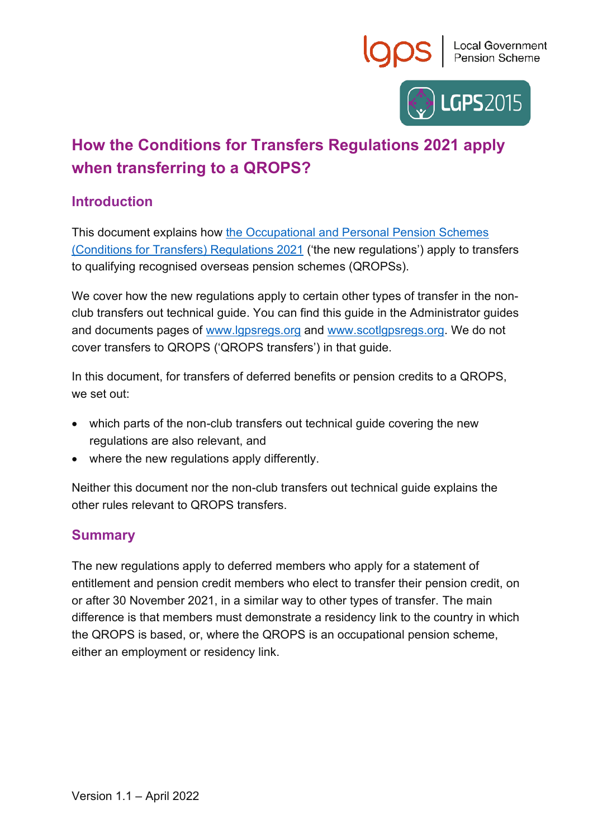



# **How the Conditions for Transfers Regulations 2021 apply when transferring to a QROPS?**

### **Introduction**

This document explains how [the Occupational and Personal Pension Schemes](https://www.legislation.gov.uk/uksi/2021/1237/contents/made)  [\(Conditions for Transfers\) Regulations 2021](https://www.legislation.gov.uk/uksi/2021/1237/contents/made) ('the new regulations') apply to transfers to qualifying recognised overseas pension schemes (QROPSs).

We cover how the new regulations apply to certain other types of transfer in the nonclub transfers out technical guide. You can find this guide in the Administrator guides and documents pages of [www.lgpsregs.org](http://www.lgpsregs.org/) and [www.scotlgpsregs.org.](http://www.scotlgpsregs.org/) We do not cover transfers to QROPS ('QROPS transfers') in that guide.

In this document, for transfers of deferred benefits or pension credits to a QROPS, we set out:

- which parts of the non-club transfers out technical guide covering the new regulations are also relevant, and
- where the new regulations apply differently.

Neither this document nor the non-club transfers out technical guide explains the other rules relevant to QROPS transfers.

#### **Summary**

The new regulations apply to deferred members who apply for a statement of entitlement and pension credit members who elect to transfer their pension credit, on or after 30 November 2021, in a similar way to other types of transfer. The main difference is that members must demonstrate a residency link to the country in which the QROPS is based, or, where the QROPS is an occupational pension scheme, either an employment or residency link.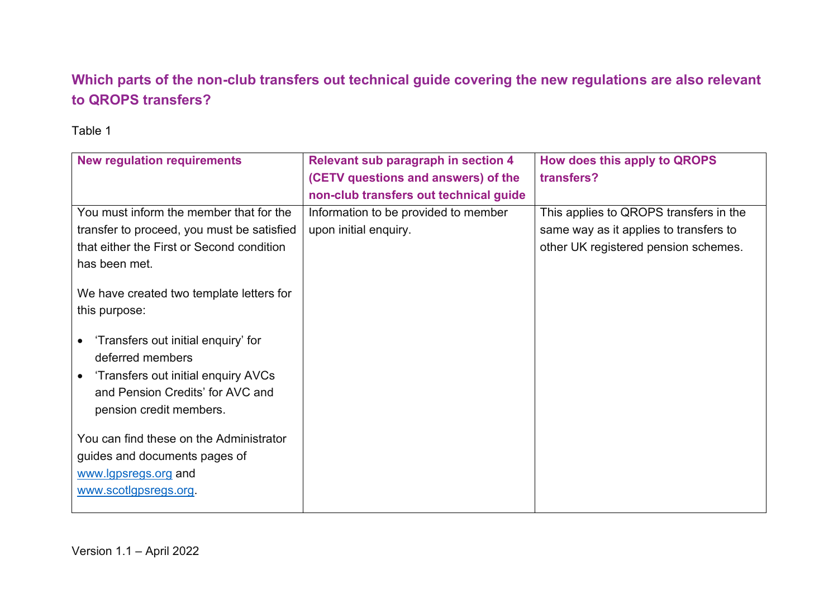## **Which parts of the non-club transfers out technical guide covering the new regulations are also relevant to QROPS transfers?**

#### Table 1

| <b>New regulation requirements</b>               | Relevant sub paragraph in section 4    | How does this apply to QROPS           |
|--------------------------------------------------|----------------------------------------|----------------------------------------|
|                                                  | (CETV questions and answers) of the    | transfers?                             |
|                                                  | non-club transfers out technical guide |                                        |
| You must inform the member that for the          | Information to be provided to member   | This applies to QROPS transfers in the |
| transfer to proceed, you must be satisfied       | upon initial enquiry.                  | same way as it applies to transfers to |
| that either the First or Second condition        |                                        | other UK registered pension schemes.   |
| has been met.                                    |                                        |                                        |
| We have created two template letters for         |                                        |                                        |
|                                                  |                                        |                                        |
| this purpose:                                    |                                        |                                        |
| 'Transfers out initial enquiry' for              |                                        |                                        |
| deferred members                                 |                                        |                                        |
| 'Transfers out initial enquiry AVCs<br>$\bullet$ |                                        |                                        |
| and Pension Credits' for AVC and                 |                                        |                                        |
| pension credit members.                          |                                        |                                        |
|                                                  |                                        |                                        |
| You can find these on the Administrator          |                                        |                                        |
| guides and documents pages of                    |                                        |                                        |
| www.lgpsregs.org and                             |                                        |                                        |
| www.scotlgpsregs.org.                            |                                        |                                        |
|                                                  |                                        |                                        |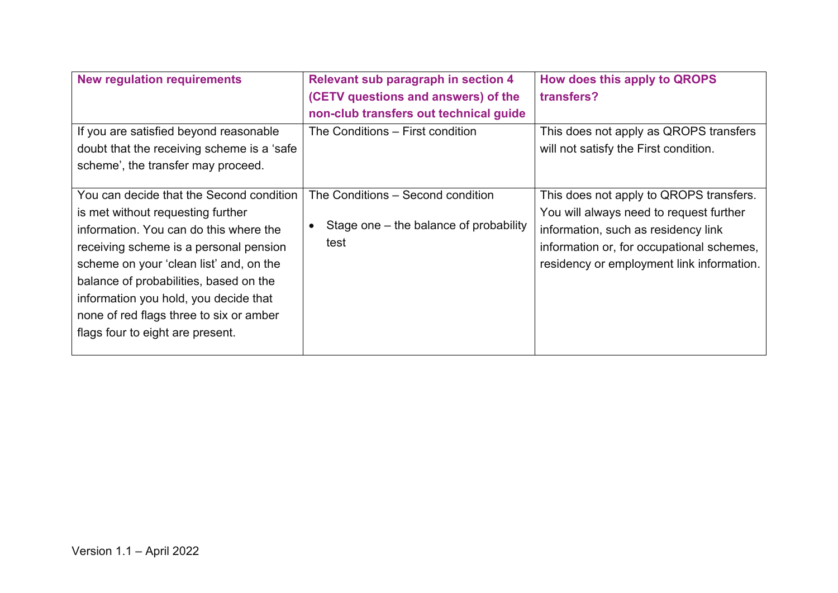| <b>New regulation requirements</b>                                                                                                                                                                                                                                                                                                                                             | <b>Relevant sub paragraph in section 4</b><br>(CETV questions and answers) of the<br>non-club transfers out technical guide | How does this apply to QROPS<br>transfers?                                                                                                                                                                          |
|--------------------------------------------------------------------------------------------------------------------------------------------------------------------------------------------------------------------------------------------------------------------------------------------------------------------------------------------------------------------------------|-----------------------------------------------------------------------------------------------------------------------------|---------------------------------------------------------------------------------------------------------------------------------------------------------------------------------------------------------------------|
| If you are satisfied beyond reasonable<br>doubt that the receiving scheme is a 'safe<br>scheme', the transfer may proceed.                                                                                                                                                                                                                                                     | The Conditions – First condition                                                                                            | This does not apply as QROPS transfers<br>will not satisfy the First condition.                                                                                                                                     |
| You can decide that the Second condition<br>is met without requesting further<br>information. You can do this where the<br>receiving scheme is a personal pension<br>scheme on your 'clean list' and, on the<br>balance of probabilities, based on the<br>information you hold, you decide that<br>none of red flags three to six or amber<br>flags four to eight are present. | The Conditions – Second condition<br>Stage one – the balance of probability<br>test                                         | This does not apply to QROPS transfers.<br>You will always need to request further<br>information, such as residency link<br>information or, for occupational schemes,<br>residency or employment link information. |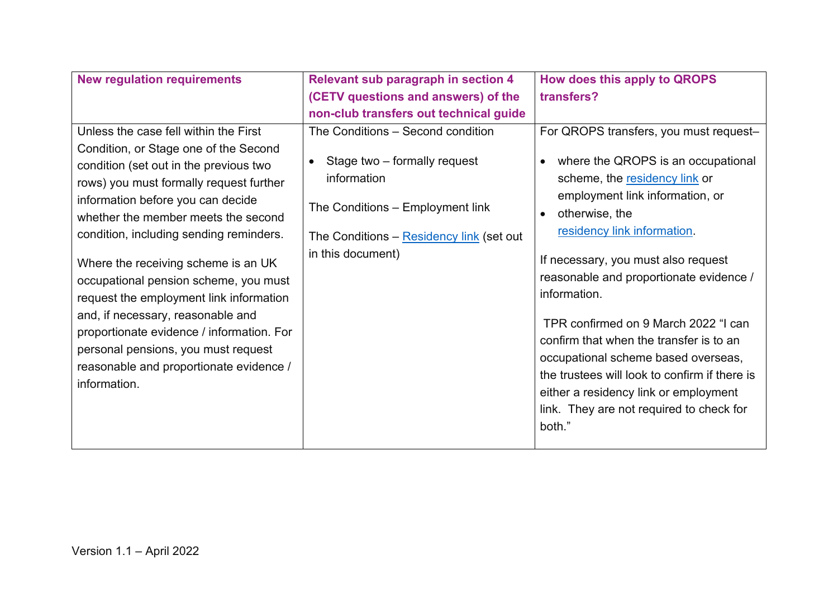| <b>New regulation requirements</b>                                                                                                                                                                                                                                                                                                                                                                                                                                                                                                                                                                        | <b>Relevant sub paragraph in section 4</b>                                                                                                                                            | How does this apply to QROPS                                                                                                                                                                                                                                                                                                                                                                                                                                                                                                                                        |
|-----------------------------------------------------------------------------------------------------------------------------------------------------------------------------------------------------------------------------------------------------------------------------------------------------------------------------------------------------------------------------------------------------------------------------------------------------------------------------------------------------------------------------------------------------------------------------------------------------------|---------------------------------------------------------------------------------------------------------------------------------------------------------------------------------------|---------------------------------------------------------------------------------------------------------------------------------------------------------------------------------------------------------------------------------------------------------------------------------------------------------------------------------------------------------------------------------------------------------------------------------------------------------------------------------------------------------------------------------------------------------------------|
|                                                                                                                                                                                                                                                                                                                                                                                                                                                                                                                                                                                                           | (CETV questions and answers) of the                                                                                                                                                   | transfers?                                                                                                                                                                                                                                                                                                                                                                                                                                                                                                                                                          |
|                                                                                                                                                                                                                                                                                                                                                                                                                                                                                                                                                                                                           | non-club transfers out technical guide                                                                                                                                                |                                                                                                                                                                                                                                                                                                                                                                                                                                                                                                                                                                     |
| Unless the case fell within the First<br>Condition, or Stage one of the Second<br>condition (set out in the previous two<br>rows) you must formally request further<br>information before you can decide<br>whether the member meets the second<br>condition, including sending reminders.<br>Where the receiving scheme is an UK<br>occupational pension scheme, you must<br>request the employment link information<br>and, if necessary, reasonable and<br>proportionate evidence / information. For<br>personal pensions, you must request<br>reasonable and proportionate evidence /<br>information. | The Conditions - Second condition<br>Stage two – formally request<br>information<br>The Conditions – Employment link<br>The Conditions - Residency link (set out<br>in this document) | For QROPS transfers, you must request-<br>where the QROPS is an occupational<br>scheme, the residency link or<br>employment link information, or<br>otherwise, the<br>residency link information.<br>If necessary, you must also request<br>reasonable and proportionate evidence /<br>information.<br>TPR confirmed on 9 March 2022 "I can<br>confirm that when the transfer is to an<br>occupational scheme based overseas,<br>the trustees will look to confirm if there is<br>either a residency link or employment<br>link. They are not required to check for |
|                                                                                                                                                                                                                                                                                                                                                                                                                                                                                                                                                                                                           |                                                                                                                                                                                       | both."                                                                                                                                                                                                                                                                                                                                                                                                                                                                                                                                                              |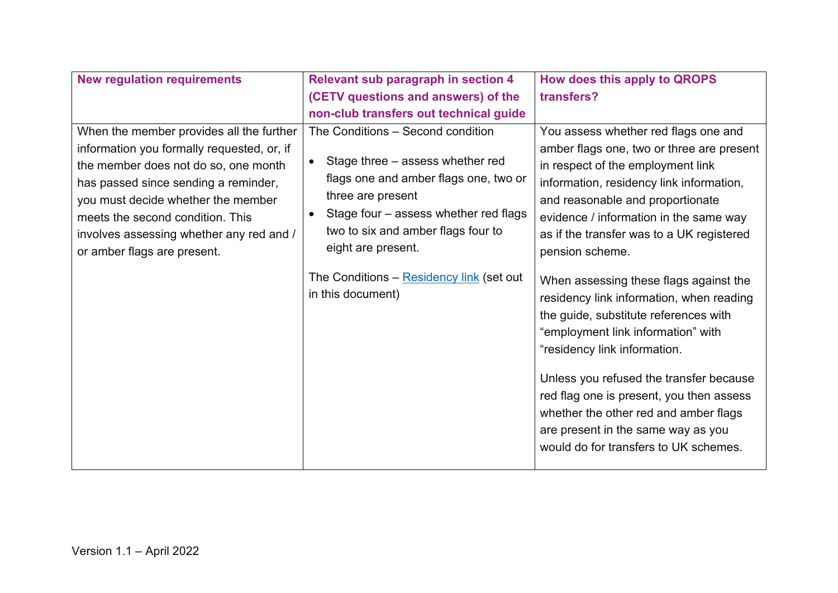| <b>New regulation requirements</b>                                                                                                                                                                                                                                                                                          | <b>Relevant sub paragraph in section 4</b>                                                                                                                                                                                                                                                                | How does this apply to QROPS                                                                                                                                                                                                                                                                                                                                                                                                                                                                                                                                                                                                                                                                |
|-----------------------------------------------------------------------------------------------------------------------------------------------------------------------------------------------------------------------------------------------------------------------------------------------------------------------------|-----------------------------------------------------------------------------------------------------------------------------------------------------------------------------------------------------------------------------------------------------------------------------------------------------------|---------------------------------------------------------------------------------------------------------------------------------------------------------------------------------------------------------------------------------------------------------------------------------------------------------------------------------------------------------------------------------------------------------------------------------------------------------------------------------------------------------------------------------------------------------------------------------------------------------------------------------------------------------------------------------------------|
|                                                                                                                                                                                                                                                                                                                             | (CETV questions and answers) of the                                                                                                                                                                                                                                                                       | transfers?                                                                                                                                                                                                                                                                                                                                                                                                                                                                                                                                                                                                                                                                                  |
|                                                                                                                                                                                                                                                                                                                             | non-club transfers out technical guide                                                                                                                                                                                                                                                                    |                                                                                                                                                                                                                                                                                                                                                                                                                                                                                                                                                                                                                                                                                             |
| When the member provides all the further<br>information you formally requested, or, if<br>the member does not do so, one month<br>has passed since sending a reminder,<br>you must decide whether the member<br>meets the second condition. This<br>involves assessing whether any red and /<br>or amber flags are present. | The Conditions - Second condition<br>Stage three – assess whether red<br>flags one and amber flags one, two or<br>three are present<br>Stage four – assess whether red flags<br>two to six and amber flags four to<br>eight are present.<br>The Conditions – Residency link (set out<br>in this document) | You assess whether red flags one and<br>amber flags one, two or three are present<br>in respect of the employment link<br>information, residency link information,<br>and reasonable and proportionate<br>evidence / information in the same way<br>as if the transfer was to a UK registered<br>pension scheme.<br>When assessing these flags against the<br>residency link information, when reading<br>the guide, substitute references with<br>"employment link information" with<br>"residency link information.<br>Unless you refused the transfer because<br>red flag one is present, you then assess<br>whether the other red and amber flags<br>are present in the same way as you |
|                                                                                                                                                                                                                                                                                                                             |                                                                                                                                                                                                                                                                                                           | would do for transfers to UK schemes.                                                                                                                                                                                                                                                                                                                                                                                                                                                                                                                                                                                                                                                       |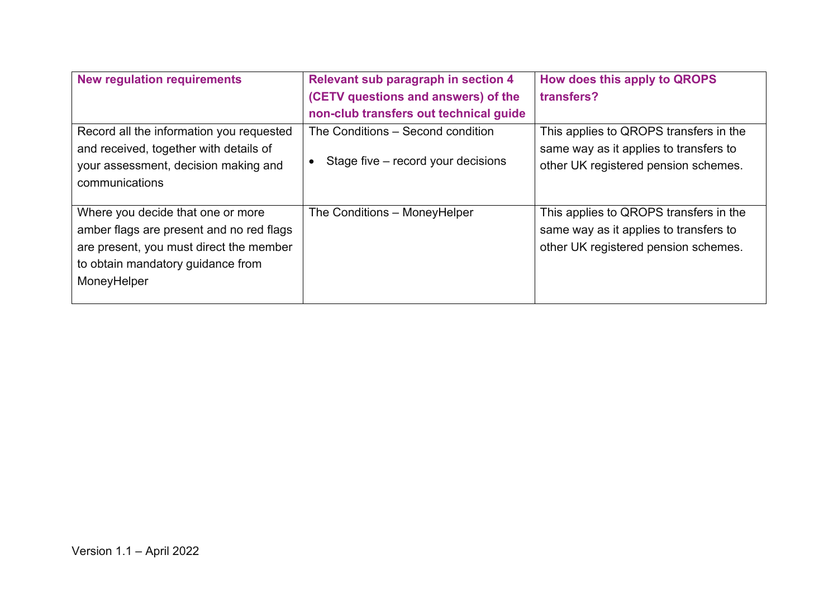| <b>New regulation requirements</b>       | <b>Relevant sub paragraph in section 4</b> | How does this apply to QROPS           |
|------------------------------------------|--------------------------------------------|----------------------------------------|
|                                          | (CETV questions and answers) of the        | transfers?                             |
|                                          | non-club transfers out technical guide     |                                        |
| Record all the information you requested | The Conditions – Second condition          | This applies to QROPS transfers in the |
| and received, together with details of   |                                            | same way as it applies to transfers to |
| your assessment, decision making and     | Stage five – record your decisions         | other UK registered pension schemes.   |
| communications                           |                                            |                                        |
|                                          |                                            |                                        |
| Where you decide that one or more        | The Conditions - MoneyHelper               | This applies to QROPS transfers in the |
| amber flags are present and no red flags |                                            | same way as it applies to transfers to |
| are present, you must direct the member  |                                            | other UK registered pension schemes.   |
| to obtain mandatory guidance from        |                                            |                                        |
| MoneyHelper                              |                                            |                                        |
|                                          |                                            |                                        |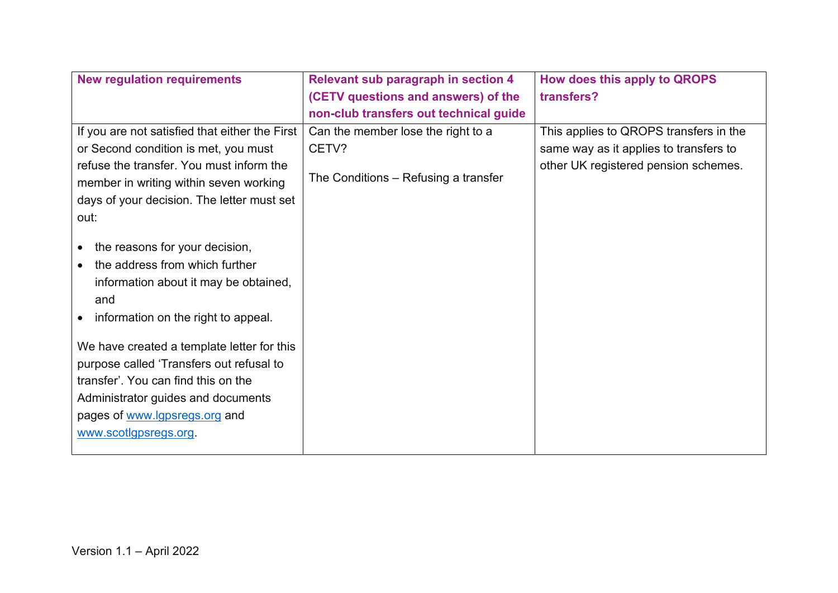| <b>New regulation requirements</b>                                                                                                                                                                                                                                                                                                                                                      | <b>Relevant sub paragraph in section 4</b> | How does this apply to QROPS           |
|-----------------------------------------------------------------------------------------------------------------------------------------------------------------------------------------------------------------------------------------------------------------------------------------------------------------------------------------------------------------------------------------|--------------------------------------------|----------------------------------------|
|                                                                                                                                                                                                                                                                                                                                                                                         | (CETV questions and answers) of the        | transfers?                             |
|                                                                                                                                                                                                                                                                                                                                                                                         | non-club transfers out technical guide     |                                        |
| If you are not satisfied that either the First                                                                                                                                                                                                                                                                                                                                          | Can the member lose the right to a         | This applies to QROPS transfers in the |
| or Second condition is met, you must                                                                                                                                                                                                                                                                                                                                                    | CETV?                                      | same way as it applies to transfers to |
| refuse the transfer. You must inform the<br>member in writing within seven working                                                                                                                                                                                                                                                                                                      | The Conditions – Refusing a transfer       | other UK registered pension schemes.   |
| days of your decision. The letter must set                                                                                                                                                                                                                                                                                                                                              |                                            |                                        |
| out:                                                                                                                                                                                                                                                                                                                                                                                    |                                            |                                        |
| the reasons for your decision,<br>the address from which further<br>information about it may be obtained,<br>and<br>information on the right to appeal.<br>We have created a template letter for this<br>purpose called 'Transfers out refusal to<br>transfer'. You can find this on the<br>Administrator guides and documents<br>pages of www.lgpsregs.org and<br>www.scotlgpsregs.org |                                            |                                        |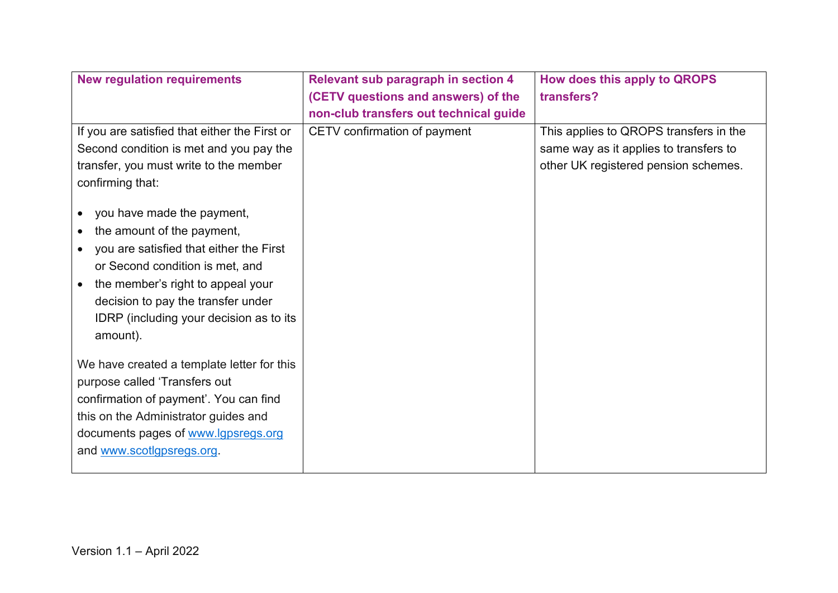| <b>New regulation requirements</b>                                                                                                                                                                                                                                                    | <b>Relevant sub paragraph in section 4</b> | How does this apply to QROPS           |
|---------------------------------------------------------------------------------------------------------------------------------------------------------------------------------------------------------------------------------------------------------------------------------------|--------------------------------------------|----------------------------------------|
|                                                                                                                                                                                                                                                                                       | (CETV questions and answers) of the        | transfers?                             |
|                                                                                                                                                                                                                                                                                       | non-club transfers out technical guide     |                                        |
| If you are satisfied that either the First or                                                                                                                                                                                                                                         | CETV confirmation of payment               | This applies to QROPS transfers in the |
| Second condition is met and you pay the                                                                                                                                                                                                                                               |                                            | same way as it applies to transfers to |
| transfer, you must write to the member                                                                                                                                                                                                                                                |                                            | other UK registered pension schemes.   |
| confirming that:                                                                                                                                                                                                                                                                      |                                            |                                        |
| you have made the payment,<br>the amount of the payment,<br>you are satisfied that either the First<br>$\bullet$<br>or Second condition is met, and<br>the member's right to appeal your<br>decision to pay the transfer under<br>IDRP (including your decision as to its<br>amount). |                                            |                                        |
| We have created a template letter for this<br>purpose called 'Transfers out                                                                                                                                                                                                           |                                            |                                        |
| confirmation of payment'. You can find                                                                                                                                                                                                                                                |                                            |                                        |
| this on the Administrator guides and                                                                                                                                                                                                                                                  |                                            |                                        |
| documents pages of www.lgpsregs.org                                                                                                                                                                                                                                                   |                                            |                                        |
| and www.scotlgpsregs.org.                                                                                                                                                                                                                                                             |                                            |                                        |
|                                                                                                                                                                                                                                                                                       |                                            |                                        |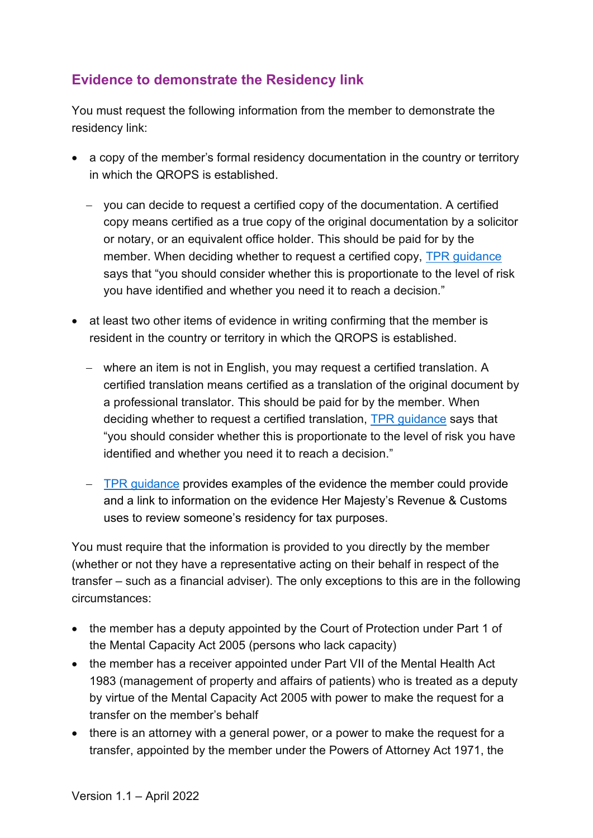## <span id="page-8-0"></span>**Evidence to demonstrate the Residency link**

You must request the following information from the member to demonstrate the residency link:

- a copy of the member's formal residency documentation in the country or territory in which the QROPS is established.
	- − you can decide to request a certified copy of the documentation. A certified copy means certified as a true copy of the original documentation by a solicitor or notary, or an equivalent office holder. This should be paid for by the member. When deciding whether to request a certified copy, [TPR guidance](https://www.thepensionsregulator.gov.uk/en/pension-scams/dealing-with-transfer-requests#3f7f1149a3714d068362024b4ff84497) says that "you should consider whether this is proportionate to the level of risk you have identified and whether you need it to reach a decision."
- at least two other items of evidence in writing confirming that the member is resident in the country or territory in which the QROPS is established.
	- − where an item is not in English, you may request a certified translation. A certified translation means certified as a translation of the original document by a professional translator. This should be paid for by the member. When deciding whether to request a certified translation, [TPR guidance](https://www.thepensionsregulator.gov.uk/en/pension-scams/dealing-with-transfer-requests#3f7f1149a3714d068362024b4ff84497) says that "you should consider whether this is proportionate to the level of risk you have identified and whether you need it to reach a decision."
	- − [TPR guidance](https://www.thepensionsregulator.gov.uk/en/pension-scams/dealing-with-transfer-requests#3f7f1149a3714d068362024b4ff84497) provides examples of the evidence the member could provide and a link to information on the evidence Her Majesty's Revenue & Customs uses to review someone's residency for tax purposes.

You must require that the information is provided to you directly by the member (whether or not they have a representative acting on their behalf in respect of the transfer – such as a financial adviser). The only exceptions to this are in the following circumstances:

- the member has a deputy appointed by the Court of Protection under Part 1 of the Mental Capacity Act 2005 (persons who lack capacity)
- the member has a receiver appointed under Part VII of the Mental Health Act 1983 (management of property and affairs of patients) who is treated as a deputy by virtue of the Mental Capacity Act 2005 with power to make the request for a transfer on the member's behalf
- there is an attorney with a general power, or a power to make the request for a transfer, appointed by the member under the Powers of Attorney Act 1971, the